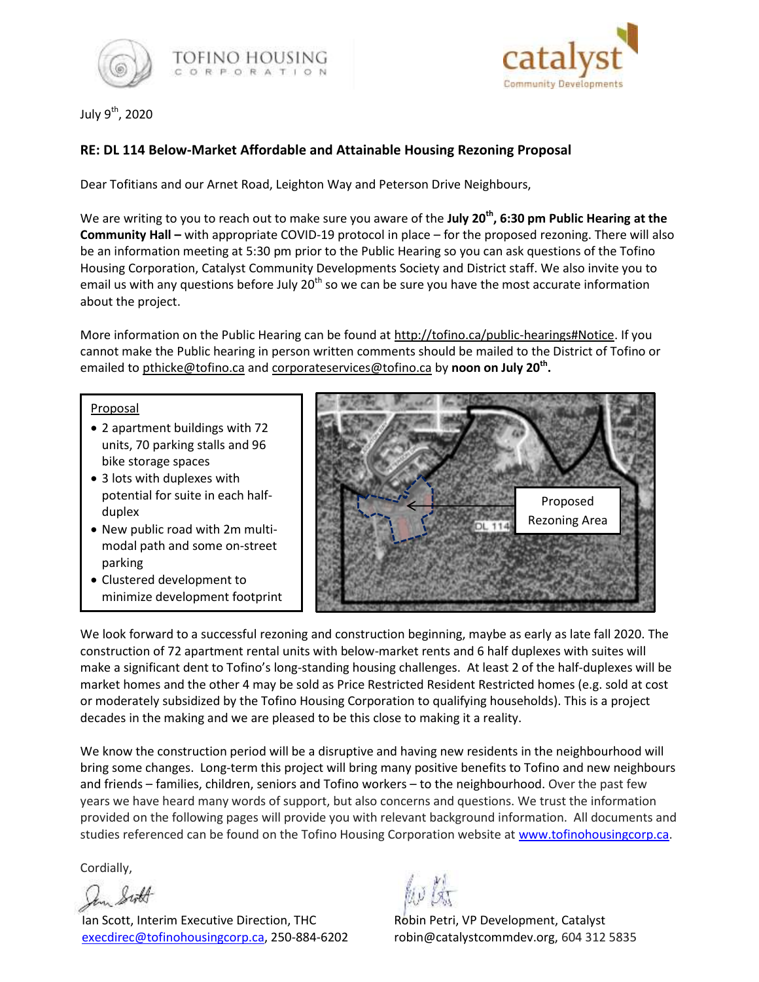



July 9<sup>th</sup>, 2020

# **RE: DL 114 Below-Market Affordable and Attainable Housing Rezoning Proposal**

Dear Tofitians and our Arnet Road, Leighton Way and Peterson Drive Neighbours,

We are writing to you to reach out to make sure you aware of the **July 20th, 6:30 pm Public Hearing at the Community Hall –** with appropriate COVID-19 protocol in place – for the proposed rezoning. There will also be an information meeting at 5:30 pm prior to the Public Hearing so you can ask questions of the Tofino Housing Corporation, Catalyst Community Developments Society and District staff. We also invite you to email us with any questions before July  $20<sup>th</sup>$  so we can be sure you have the most accurate information about the project.

More information on the Public Hearing can be found at [http://tofino.ca/public-hearings#Notice.](http://tofino.ca/public-hearings#Notice) If you cannot make the Public hearing in person written comments should be mailed to the District of Tofino or emailed to [pthicke@tofino.ca](mailto:dhawkins@tofino.ca?subject=Public%20Hearing) and [corporateservices@tofino.ca](mailto:Public%20Hearing) by **noon on July 20th .**

#### Proposal

- 2 apartment buildings with 72 units, 70 parking stalls and 96 bike storage spaces
- 3 lots with duplexes with potential for suite in each halfduplex
- New public road with 2m multimodal path and some on-street parking
- Clustered development to minimize development footprint



We look forward to a successful rezoning and construction beginning, maybe as early as late fall 2020. The construction of 72 apartment rental units with below-market rents and 6 half duplexes with suites will make a significant dent to Tofino's long-standing housing challenges. At least 2 of the half-duplexes will be market homes and the other 4 may be sold as Price Restricted Resident Restricted homes (e.g. sold at cost or moderately subsidized by the Tofino Housing Corporation to qualifying households). This is a project decades in the making and we are pleased to be this close to making it a reality.

We know the construction period will be a disruptive and having new residents in the neighbourhood will bring some changes. Long-term this project will bring many positive benefits to Tofino and new neighbours and friends – families, children, seniors and Tofino workers – to the neighbourhood. Over the past few years we have heard many words of support, but also concerns and questions. We trust the information provided on the following pages will provide you with relevant background information. All documents and studies referenced can be found on the Tofino Housing Corporation website at [www.tofinohousingcorp.ca.](http://www.tofinohousingcorp.ca/)

Cordially,

In Still

Ian Scott, Interim Executive Direction, THC Robin Petri, VP Development, Catalyst [execdirec@tofinohousingcorp.ca,](mailto:execdirec@tofinohousingcorp.ca) 250-884-6202 robin@catalystcommdev.org, 604 312 5835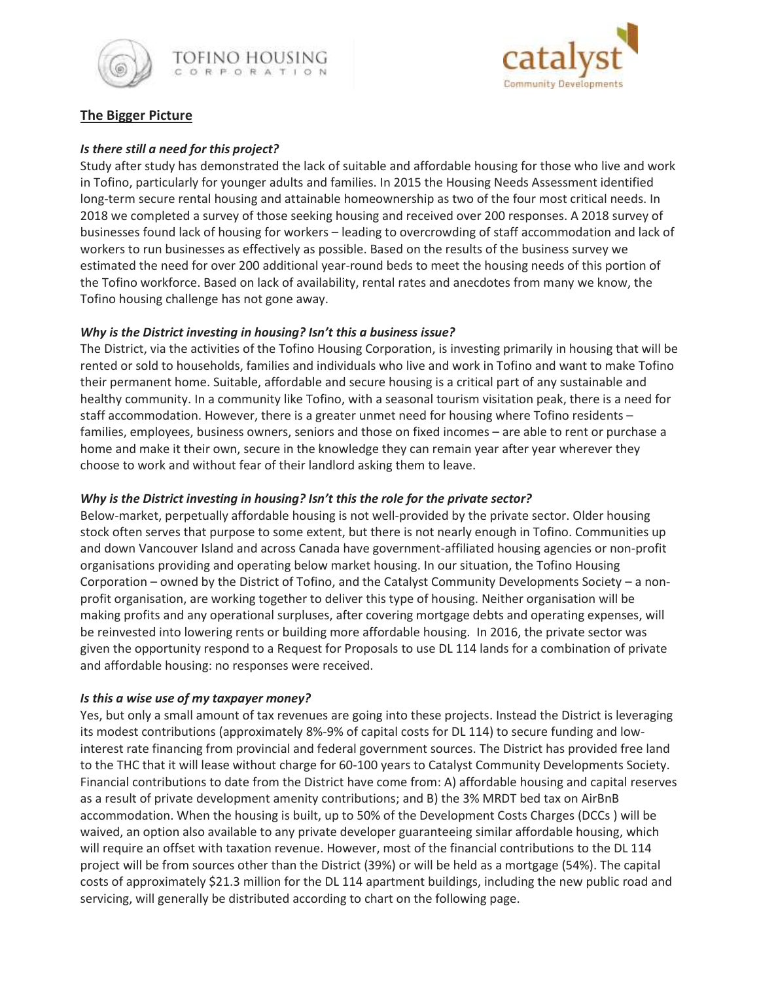



# **The Bigger Picture**

### *Is there still a need for this project?*

Study after study has demonstrated the lack of suitable and affordable housing for those who live and work in Tofino, particularly for younger adults and families. In 2015 the Housing Needs Assessment identified long-term secure rental housing and attainable homeownership as two of the four most critical needs. In 2018 we completed a survey of those seeking housing and received over 200 responses. A 2018 survey of businesses found lack of housing for workers – leading to overcrowding of staff accommodation and lack of workers to run businesses as effectively as possible. Based on the results of the business survey we estimated the need for over 200 additional year-round beds to meet the housing needs of this portion of the Tofino workforce. Based on lack of availability, rental rates and anecdotes from many we know, the Tofino housing challenge has not gone away.

## *Why is the District investing in housing? Isn't this a business issue?*

The District, via the activities of the Tofino Housing Corporation, is investing primarily in housing that will be rented or sold to households, families and individuals who live and work in Tofino and want to make Tofino their permanent home. Suitable, affordable and secure housing is a critical part of any sustainable and healthy community. In a community like Tofino, with a seasonal tourism visitation peak, there is a need for staff accommodation. However, there is a greater unmet need for housing where Tofino residents – families, employees, business owners, seniors and those on fixed incomes – are able to rent or purchase a home and make it their own, secure in the knowledge they can remain year after year wherever they choose to work and without fear of their landlord asking them to leave.

## *Why is the District investing in housing? Isn't this the role for the private sector?*

Below-market, perpetually affordable housing is not well-provided by the private sector. Older housing stock often serves that purpose to some extent, but there is not nearly enough in Tofino. Communities up and down Vancouver Island and across Canada have government-affiliated housing agencies or non-profit organisations providing and operating below market housing. In our situation, the Tofino Housing Corporation – owned by the District of Tofino, and the Catalyst Community Developments Society – a nonprofit organisation, are working together to deliver this type of housing. Neither organisation will be making profits and any operational surpluses, after covering mortgage debts and operating expenses, will be reinvested into lowering rents or building more affordable housing. In 2016, the private sector was given the opportunity respond to a Request for Proposals to use DL 114 lands for a combination of private and affordable housing: no responses were received.

### *Is this a wise use of my taxpayer money?*

Yes, but only a small amount of tax revenues are going into these projects. Instead the District is leveraging its modest contributions (approximately 8%-9% of capital costs for DL 114) to secure funding and lowinterest rate financing from provincial and federal government sources. The District has provided free land to the THC that it will lease without charge for 60-100 years to Catalyst Community Developments Society. Financial contributions to date from the District have come from: A) affordable housing and capital reserves as a result of private development amenity contributions; and B) the 3% MRDT bed tax on AirBnB accommodation. When the housing is built, up to 50% of the Development Costs Charges (DCCs ) will be waived, an option also available to any private developer guaranteeing similar affordable housing, which will require an offset with taxation revenue. However, most of the financial contributions to the DL 114 project will be from sources other than the District (39%) or will be held as a mortgage (54%). The capital costs of approximately \$21.3 million for the DL 114 apartment buildings, including the new public road and servicing, will generally be distributed according to chart on the following page.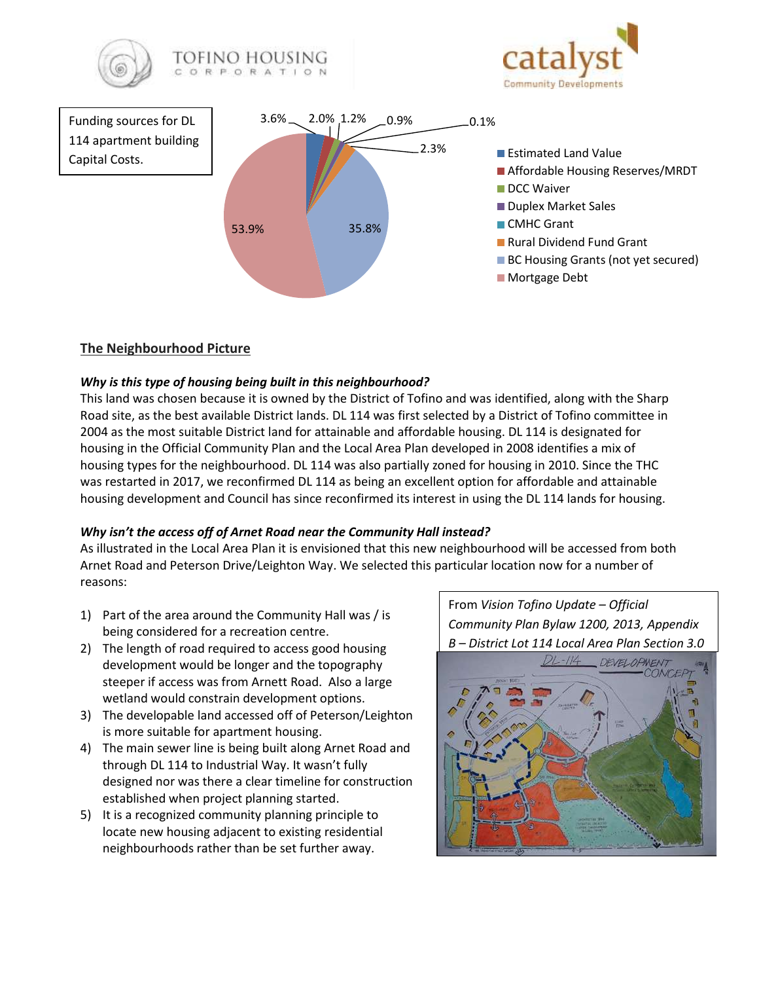

# **The Neighbourhood Picture**

## *Why is this type of housing being built in this neighbourhood?*

This land was chosen because it is owned by the District of Tofino and was identified, along with the Sharp Road site, as the best available District lands. DL 114 was first selected by a District of Tofino committee in 2004 as the most suitable District land for attainable and affordable housing. DL 114 is designated for housing in the Official Community Plan and the Local Area Plan developed in 2008 identifies a mix of housing types for the neighbourhood. DL 114 was also partially zoned for housing in 2010. Since the THC was restarted in 2017, we reconfirmed DL 114 as being an excellent option for affordable and attainable housing development and Council has since reconfirmed its interest in using the DL 114 lands for housing.

## *Why isn't the access off of Arnet Road near the Community Hall instead?*

As illustrated in the Local Area Plan it is envisioned that this new neighbourhood will be accessed from both Arnet Road and Peterson Drive/Leighton Way. We selected this particular location now for a number of reasons:

- 1) Part of the area around the Community Hall was / is being considered for a recreation centre.
- 2) The length of road required to access good housing development would be longer and the topography steeper if access was from Arnett Road. Also a large wetland would constrain development options.
- 3) The developable land accessed off of Peterson/Leighton is more suitable for apartment housing.
- 4) The main sewer line is being built along Arnet Road and through DL 114 to Industrial Way. It wasn't fully designed nor was there a clear timeline for construction established when project planning started.
- 5) It is a recognized community planning principle to locate new housing adjacent to existing residential neighbourhoods rather than be set further away.

From *Vision Tofino Update – Official Community Plan Bylaw 1200, 2013, Appendix B – District Lot 114 Local Area Plan Section 3.0*